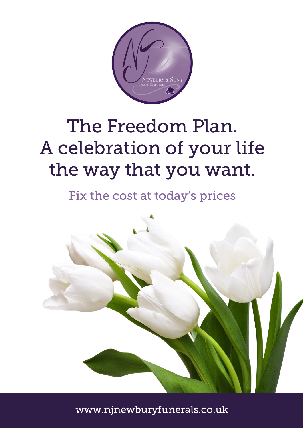

# The Freedom Plan. A celebration of your life the way that you want.

Fix the cost at today's prices



www.njnewburyfunerals.co.uk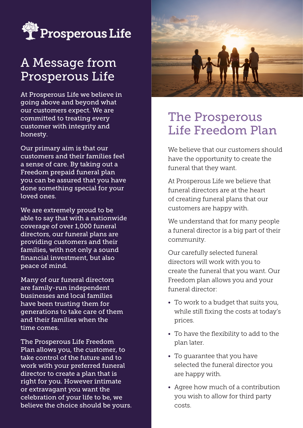

## A Message from Prosperous Life

At Prosperous Life we believe in going above and beyond what our customers expect. We are committed to treating every customer with integrity and honesty.

Our primary aim is that our customers and their families feel a sense of care. By taking out a Freedom prepaid funeral plan you can be assured that you have done something special for your loved ones.

We are extremely proud to be able to say that with a nationwide coverage of over 1,000 funeral directors, our funeral plans are providing customers and their families, with not only a sound financial investment, but also peace of mind.

Many of our funeral directors are family-run independent businesses and local families have been trusting them for generations to take care of them and their families when the time comes.

The Prosperous Life Freedom Plan allows you, the customer, to take control of the future and to work with your preferred funeral director to create a plan that is right for you. However intimate or extravagant you want the celebration of your life to be, we believe the choice should be yours.



### The Prosperous Life Freedom Plan

We believe that our customers should have the opportunity to create the funeral that they want.

At Prosperous Life we believe that funeral directors are at the heart of creating funeral plans that our customers are happy with.

We understand that for many people a funeral director is a big part of their community.

Our carefully selected funeral directors will work with you to create the funeral that you want. Our Freedom plan allows you and your funeral director:

- To work to a budget that suits you, while still fixing the costs at today's prices.
- To have the flexibility to add to the plan later.
- To guarantee that you have selected the funeral director you are happy with.
- Agree how much of a contribution you wish to allow for third party costs.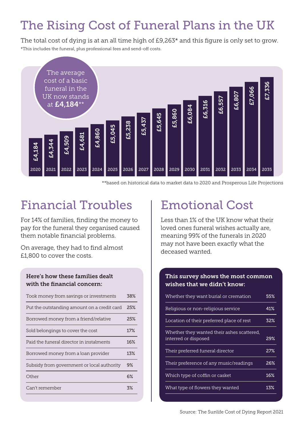## The Rising Cost of Funeral Plans in the UK

The total cost of dying is at an all time high of £9,263\* and this figure is only set to grow. \*This includes the funeral, plus professional fees and send-off costs.



\*\*based on historical data to market data to 2020 and Prosperous Life Projections

## Financial Troubles | Emotional Cost

For 14% of families, finding the money to pay for the funeral they organised caused them notable financial problems.

On average, they had to find almost £1,800 to cover the costs.

### Here's how these families dealt with the financial concern:

| Took money from savings or investments      | 38% |
|---------------------------------------------|-----|
| Put the outstanding amount on a credit card | 25% |
| Borrowed money from a friend/relative       | 25% |
| Sold belongings to cover the cost           | 17% |
| Paid the funeral director in instalments    | 16% |
| Borrowed money from a loan provider         | 13% |
| Subsidy from government or local authority  | 9%  |
| Other                                       | 6%  |
| Can't remember                              | 3%  |
|                                             |     |

Less than 1% of the UK know what their loved ones funeral wishes actually are, meaning 99% of the funerals in 2020 may not have been exactly what the deceased wanted.

### This survey shows the most common wishes that we didn't know:

| Whether they want burial or cremation                              | 55% |
|--------------------------------------------------------------------|-----|
| Religious or non-religious service                                 | 41% |
| Location of their preferred place of rest                          | 32% |
| Whether they wanted their ashes scattered,<br>interred or disposed | 29% |
| Their preferred funeral director                                   | 27% |
| Their preference of any music/readings                             | 26% |
| Which type of coffin or casket                                     | 16% |
| What type of flowers they wanted                                   | 13% |